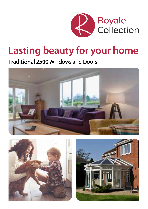

# **Lasting beauty for your home**

**Traditional 2500** Windows and Doors





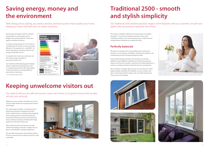



### **Saving energy, money and the environment**

### **Keeping unwelcome visitors out**

With energy prices soaring, you need a window and door system that insulates your home, helping to reduce fuel bills and cut carbon emissions.

You need to feel you are safe and secure in your own home, so it's good to know that we take security very seriously.

Most people are familiar with the rainbow 'energy label' on white goods such as fridges and washing machines. These also apply to windows and doors.

A window energy rating of A+10 or above is considered to be the best in class for energy efficiency. This equates to A+ with BFRC. So when choosing your windows, look for the energy rating label with A+.

To calculate how much you could save use the online energy calculator at www.deceuninck.co.uk

Our Traditional 2500 double glazed windows achieve superb thermal performance with A+ energy ratings. We also offer triple glazed windows for the best in energy efficiency and comfort in the home.

\* www.energysavingtrust.org.uk





Making sure your windows and doors are secure can be a major deterrent to opportunistic thieves and burglars.

Our wide range of modern, contemporary and period style windows incorporate the latest built-in safety features, including internal glazing and a locking system for ultimate protection. To provide enhanced resistance to forced entry, all our windows and doors are fitted with hinge protectors at the back of the sash.

We've taken the latest anti-bump, anti-snap cylinder technology and built it straight into our doors, and all fitted as standard equipment.

We also offer various glass and hardware options for you to choose from to make your home as safe as possible.



# **Traditional 2500 - smooth and stylish simplicity**

Our Traditional 2500 window and door range is a firm favourite with our customers. Smooth and stylish, they are proven to stand the test of time.

#### **Perfectly balanced**

This range is available in White and 18 colourways as standard. See page 11. Our suite of windows and doors comes with matching ancillaries, trims and accessories plus a wide choice of complementary hardware to complete the look.

We take our inspiration from the buildings and environment around us. So our designs are flexible, versatile and created to suit contemporary homes and period properties alike.

Good window design extends to the symmetry of window sightlines. Equal sightlines add balance and harmony, giving a cleaner view from the outside in, and from the inside looking out. It means our windows look less cluttered and more symmetrical.

All our products undergo rigorous tests to ensure they are of the highest quality, durability and reliability. So your windows and doors will stay beautiful for longer, with very little maintenance. They are also all recyclable.



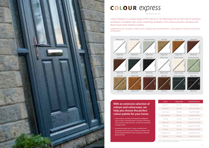

# COLOUR express

by deceuninck

|  | <b>Nut Tree</b> |
|--|-----------------|
|  |                 |
|  |                 |



We have produced the colour swatches as accurately as printing will allow. Please ask to see our swatch book for precise reference.

| Colour          | Nearest Ral | <b>Renolit Reference</b> |
|-----------------|-------------|--------------------------|
| White PVC       | RAI 9016    | Renolit Ref N/A          |
| White Grain     | RAI 9010    | Renolit Ref. 46849       |
| Classic Cream   | RAI 9001    | Renolit Ref. 46848       |
| Chartwell Green | RAI 6021    | Renolit Ref. 49246       |
| Irish Oak       | RAI N/A     | Renolit Ref. 93211005    |
| Golden Oak      | RAI N/A     | Renolit Ref. 92178001    |
| Rosewood        | RAI N/A     | Renolit Ref. 93202001    |
| Nut Tree        | RAI N/A     | Renolit Ref. 92178007    |
| Anthracite Grey | RAI 7016    | Renolit Ref. 7016 05     |
| Black Ash       | RAI 8022    | Renolit Ref. 8518 05     |

### Colour Express is a unique range of foil colours in 18 colourways for our full suite of windows

and doors. Complete with colour matching ancillaries, trims and accessories windows and doors have never looked so pretty.

Supplied from stock, everything - windows, doors, composite doors and Slider24 door - arrives together to minimise inconvenience and disruption.

**With an extensive selection of colours and colourways, we help you choose the perfect colour palette for your home.** 

- Colour Express includes the beautiful woodgrains, Classic Cream, Chartwell Green, Irish Oak, Anthracite Grey, and the unique Nut Tree. Just feel our authentic woodgrain foils.
- Extremely durable and a 10 year manufacturer's guarantee means your new windows and doors will stay looking beautiful for years, giving you ultimate peace of mind.

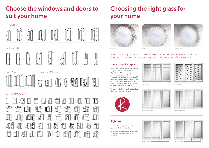



#### French Doors



#### Residential Doors







Patio Doors **Tilt and Turn Windows** 



#### Casement Windows



## **Choose the windows and doors to suit your home**

A wide range of glass effects are available so you can more closely match the pattern you prefer. All glass options are available toughened or laminated for safety and security.

#### **Leaded and Georgian**

#### **Sightlines**

## **Choosing the right glass for your home**





Minster glass Stippolyte glass Contora glass Contora glass Contora glass Stippolyte glass Stippolyte glass

The design of your windows and doors have a big impact on the overall appearance of your home. Whatever the age of your property the original windows and doors were designed to harmonise with it. So it's important to consider what will look right for the building when you replace them. The right design and look can preserve or enhance the value of your home.



Were the original windows leaded perhaps, or did they have Georgian bars?

Good window design extends to the symmetry of window sightlines.

Equal sightlines add balance and harmony – a subtle touch which adds value to any home.



Square leaded

Internal Georgian Bars

Diamond leaded



External Georgian Bars





Unequal Sightlines